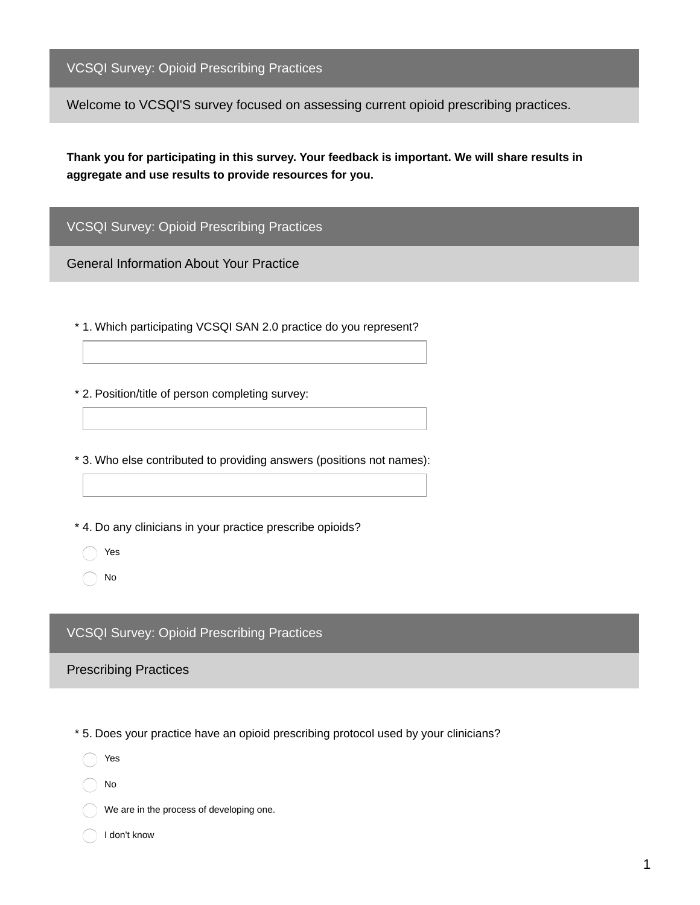VCSQI Survey: Opioid Prescribing Practices

Welcome to VCSQI'S survey focused on assessing current opioid prescribing practices.

**Thank you for participating in this survey. Your feedback is important. We will share results in aggregate and use results to provide resources for you.**

VCSQI Survey: Opioid Prescribing Practices

General Information About Your Practice

\* 1. Which participating VCSQI SAN 2.0 practice do you represent?

\* 2. Position/title of person completing survey:

\* 3. Who else contributed to providing answers (positions not names):

\* 4. Do any clinicians in your practice prescribe opioids?

Yes

No

## VCSQI Survey: Opioid Prescribing Practices

Prescribing Practices

\* 5. Does your practice have an opioid prescribing protocol used by your clinicians?

Yes

No

- We are in the process of developing one.
- I don't know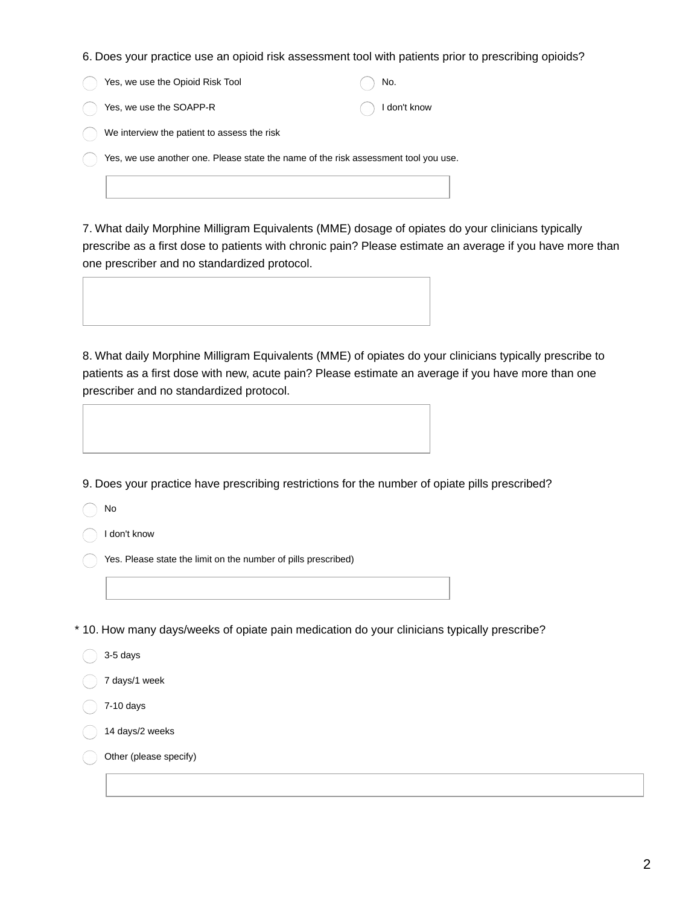6. Does your practice use an opioid risk assessment tool with patients prior to prescribing opioids?

| Yes, we use the Opioid Risk Tool            | $( )$ No. |                         |
|---------------------------------------------|-----------|-------------------------|
| $( )$ Yes, we use the SOAPP-R               |           | $\bigcirc$ I don't know |
| We interview the patient to assess the risk |           |                         |

Yes, we use another one. Please state the name of the risk assessment tool you use.

7. What daily Morphine Milligram Equivalents (MME) dosage of opiates do your clinicians typically prescribe as a first dose to patients with chronic pain? Please estimate an average if you have more than one prescriber and no standardized protocol.



8. What daily Morphine Milligram Equivalents (MME) of opiates do your clinicians typically prescribe to patients as a first dose with new, acute pain? Please estimate an average if you have more than one prescriber and no standardized protocol.

9. Does your practice have prescribing restrictions for the number of opiate pills prescribed?

No

I don't know

Yes. Please state the limit on the number of pills prescribed)

\* 10. How many days/weeks of opiate pain medication do your clinicians typically prescribe?

3-5 days

7 days/1 week

7-10 days

14 days/2 weeks

Other (please specify)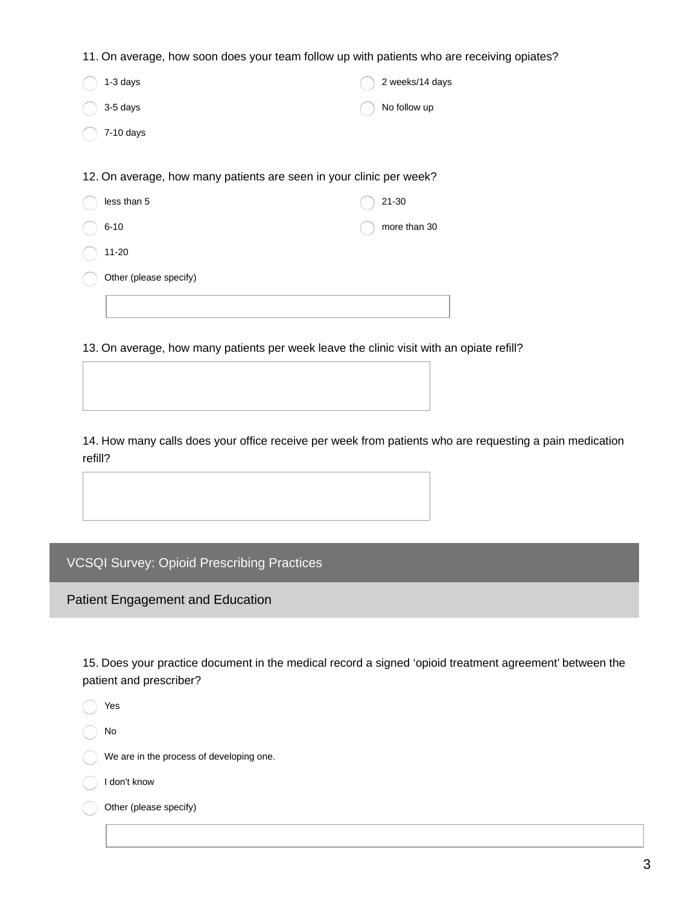11. On average, how soon does your team follow up with patients who are receiving opiates?

| 1-3 days                                                            | 2 weeks/14 days |
|---------------------------------------------------------------------|-----------------|
| 3-5 days                                                            | No follow up    |
| 7-10 days                                                           |                 |
|                                                                     |                 |
| 12. On average, how many patients are seen in your clinic per week? |                 |
| less than 5                                                         | 21-30           |
| $6 - 10$                                                            | more than 30    |
| 11-20                                                               |                 |
| Other (please specify)                                              |                 |
|                                                                     |                 |

13. On average, how many patients per week leave the clinic visit with an opiate refill?

14. How many calls does your office receive per week from patients who are requesting a pain medication refill?

VCSQI Survey: Opioid Prescribing Practices

Patient Engagement and Education

15. Does your practice document in the medical record a signed 'opioid treatment agreement' between the patient and prescriber?

Yes

 $\bigcap$  No

We are in the process of developing one.

I don't know

Other (please specify)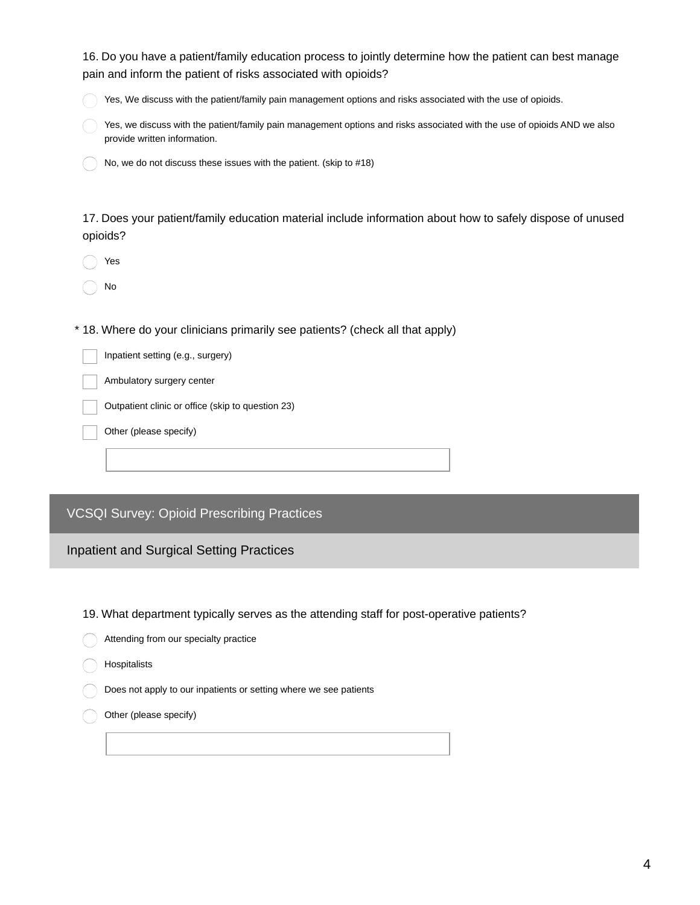| 16. Do you have a patient/family education process to jointly determine how the patient can best manage<br>pain and inform the patient of risks associated with opioids?                                                       |  |  |  |  |
|--------------------------------------------------------------------------------------------------------------------------------------------------------------------------------------------------------------------------------|--|--|--|--|
| Yes, We discuss with the patient/family pain management options and risks associated with the use of opioids.                                                                                                                  |  |  |  |  |
| Yes, we discuss with the patient/family pain management options and risks associated with the use of opioids AND we also<br>provide written information.                                                                       |  |  |  |  |
| No, we do not discuss these issues with the patient. (skip to #18)                                                                                                                                                             |  |  |  |  |
| 17. Does your patient/family education material include information about how to safely dispose of unused<br>opioids?                                                                                                          |  |  |  |  |
| Yes                                                                                                                                                                                                                            |  |  |  |  |
| No                                                                                                                                                                                                                             |  |  |  |  |
| * 18. Where do your clinicians primarily see patients? (check all that apply)<br>Inpatient setting (e.g., surgery)<br>Ambulatory surgery center<br>Outpatient clinic or office (skip to question 23)<br>Other (please specify) |  |  |  |  |
| <b>VCSQI Survey: Opioid Prescribing Practices</b>                                                                                                                                                                              |  |  |  |  |
| <b>Inpatient and Surgical Setting Practices</b>                                                                                                                                                                                |  |  |  |  |
| 19. What department typically serves as the attending staff for post-operative patients?                                                                                                                                       |  |  |  |  |

- Attending from our specialty practice
- Hospitalists

Does not apply to our inpatients or setting where we see patients

Other (please specify) C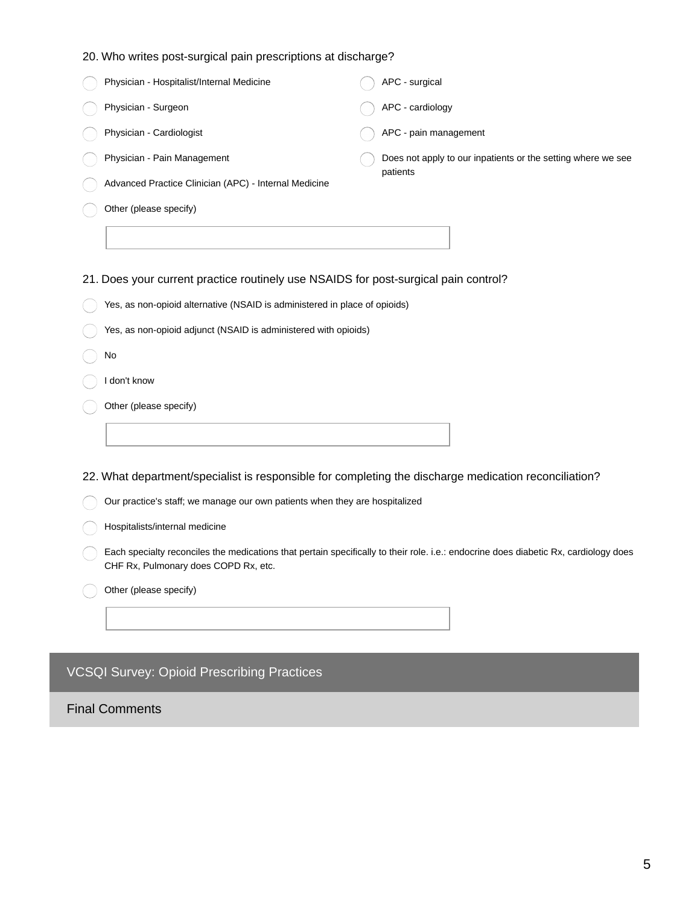|  | 20. Who writes post-surgical pain prescriptions at discharge? |  |  |  |
|--|---------------------------------------------------------------|--|--|--|
|  |                                                               |  |  |  |

| Physician - Hospitalist/Internal Medicine                                           | APC - surgical                                               |  |  |  |
|-------------------------------------------------------------------------------------|--------------------------------------------------------------|--|--|--|
| Physician - Surgeon                                                                 | APC - cardiology                                             |  |  |  |
| Physician - Cardiologist                                                            | APC - pain management                                        |  |  |  |
| Physician - Pain Management                                                         | Does not apply to our inpatients or the setting where we see |  |  |  |
| Advanced Practice Clinician (APC) - Internal Medicine                               | patients                                                     |  |  |  |
| Other (please specify)                                                              |                                                              |  |  |  |
|                                                                                     |                                                              |  |  |  |
| 21. Does your current practice routinely use NSAIDS for post-surgical pain control? |                                                              |  |  |  |
| Yes, as non-opioid alternative (NSAID is administered in place of opioids)          |                                                              |  |  |  |
| Yes, as non-opioid adjunct (NSAID is administered with opioids)                     |                                                              |  |  |  |

- No
- I don't know
- Other (please specify)

22. What department/specialist is responsible for completing the discharge medication reconciliation?

Our practice's staff; we manage our own patients when they are hospitalized

Hospitalists/internal medicine

Each specialty reconciles the medications that pertain specifically to their role. i.e.: endocrine does diabetic Rx, cardiology does CHF Rx, Pulmonary does COPD Rx, etc.

Other (please specify)

## VCSQI Survey: Opioid Prescribing Practices

Final Comments